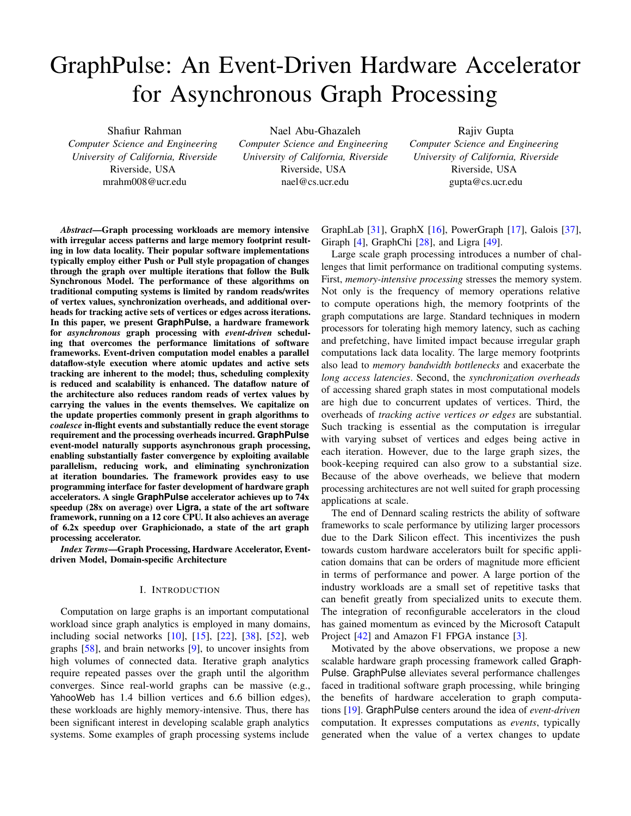# GraphPulse: An Event-Driven Hardware Accelerator for Asynchronous Graph Processing

Shafiur Rahman *Computer Science and Engineering University of California, Riverside* Riverside, USA mrahm008@ucr.edu

Nael Abu-Ghazaleh *Computer Science and Engineering University of California, Riverside* Riverside, USA nael@cs.ucr.edu

Rajiv Gupta *Computer Science and Engineering University of California, Riverside* Riverside, USA gupta@cs.ucr.edu

*Abstract*—Graph processing workloads are memory intensive with irregular access patterns and large memory footprint resulting in low data locality. Their popular software implementations typically employ either Push or Pull style propagation of changes through the graph over multiple iterations that follow the Bulk Synchronous Model. The performance of these algorithms on traditional computing systems is limited by random reads/writes of vertex values, synchronization overheads, and additional overheads for tracking active sets of vertices or edges across iterations. In this paper, we present **GraphPulse**, a hardware framework for *asynchronous* graph processing with *event-driven* scheduling that overcomes the performance limitations of software frameworks. Event-driven computation model enables a parallel dataflow-style execution where atomic updates and active sets tracking are inherent to the model; thus, scheduling complexity is reduced and scalability is enhanced. The dataflow nature of the architecture also reduces random reads of vertex values by carrying the values in the events themselves. We capitalize on the update properties commonly present in graph algorithms to *coalesce* in-flight events and substantially reduce the event storage requirement and the processing overheads incurred. **GraphPulse** event-model naturally supports asynchronous graph processing, enabling substantially faster convergence by exploiting available parallelism, reducing work, and eliminating synchronization at iteration boundaries. The framework provides easy to use programming interface for faster development of hardware graph accelerators. A single **GraphPulse** accelerator achieves up to 74x speedup (28x on average) over **Ligra**, a state of the art software framework, running on a 12 core CPU. It also achieves an average of 6.2x speedup over Graphicionado, a state of the art graph processing accelerator.

*Index Terms*—Graph Processing, Hardware Accelerator, Eventdriven Model, Domain-specific Architecture

## I. INTRODUCTION

Computation on large graphs is an important computational workload since graph analytics is employed in many domains, including social networks [\[10\]](#page-12-0), [\[15\]](#page-12-1), [\[22\]](#page-12-2), [\[38\]](#page-13-0), [\[52\]](#page-13-1), web graphs [\[58\]](#page-13-2), and brain networks [\[9\]](#page-12-3), to uncover insights from high volumes of connected data. Iterative graph analytics require repeated passes over the graph until the algorithm converges. Since real-world graphs can be massive (e.g., YahooWeb has 1.4 billion vertices and 6.6 billion edges), these workloads are highly memory-intensive. Thus, there has been significant interest in developing scalable graph analytics systems. Some examples of graph processing systems include

GraphLab [\[31\]](#page-13-3), GraphX [\[16\]](#page-12-4), PowerGraph [\[17\]](#page-12-5), Galois [\[37\]](#page-13-4), Giraph [\[4\]](#page-12-6), GraphChi [\[28\]](#page-13-5), and Ligra [\[49\]](#page-13-6).

Large scale graph processing introduces a number of challenges that limit performance on traditional computing systems. First, *memory-intensive processing* stresses the memory system. Not only is the frequency of memory operations relative to compute operations high, the memory footprints of the graph computations are large. Standard techniques in modern processors for tolerating high memory latency, such as caching and prefetching, have limited impact because irregular graph computations lack data locality. The large memory footprints also lead to *memory bandwidth bottlenecks* and exacerbate the *long access latencies*. Second, the *synchronization overheads* of accessing shared graph states in most computational models are high due to concurrent updates of vertices. Third, the overheads of *tracking active vertices or edges* are substantial. Such tracking is essential as the computation is irregular with varying subset of vertices and edges being active in each iteration. However, due to the large graph sizes, the book-keeping required can also grow to a substantial size. Because of the above overheads, we believe that modern processing architectures are not well suited for graph processing applications at scale.

The end of Dennard scaling restricts the ability of software frameworks to scale performance by utilizing larger processors due to the Dark Silicon effect. This incentivizes the push towards custom hardware accelerators built for specific application domains that can be orders of magnitude more efficient in terms of performance and power. A large portion of the industry workloads are a small set of repetitive tasks that can benefit greatly from specialized units to execute them. The integration of reconfigurable accelerators in the cloud has gained momentum as evinced by the Microsoft Catapult Project [\[42\]](#page-13-7) and Amazon F1 FPGA instance [\[3\]](#page-12-7).

Motivated by the above observations, we propose a new scalable hardware graph processing framework called Graph-Pulse. GraphPulse alleviates several performance challenges faced in traditional software graph processing, while bringing the benefits of hardware acceleration to graph computations [\[19\]](#page-12-8). GraphPulse centers around the idea of *event-driven* computation. It expresses computations as *events*, typically generated when the value of a vertex changes to update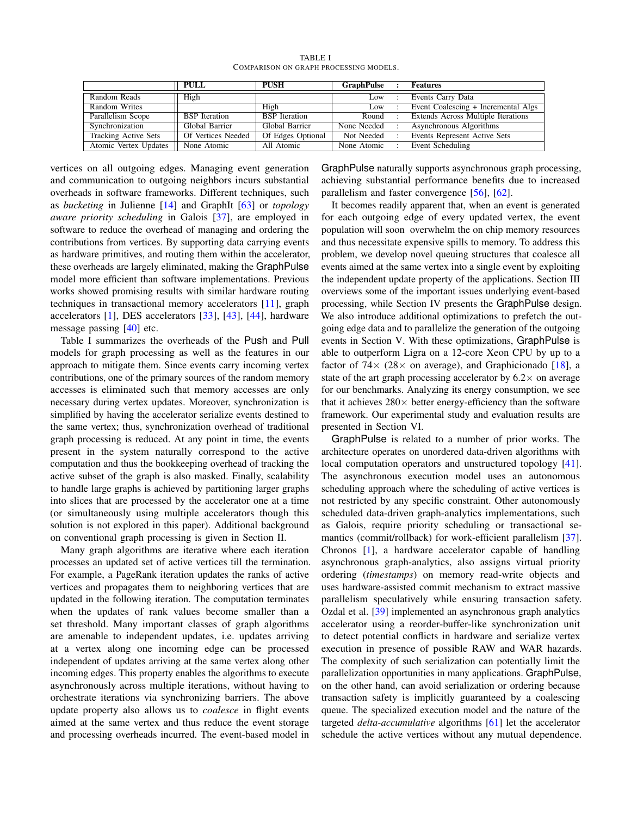<span id="page-1-0"></span>

|                             | <b>PULL</b>          | <b>PUSH</b>          | GraphPulse      | <b>Features</b>                     |
|-----------------------------|----------------------|----------------------|-----------------|-------------------------------------|
| Random Reads                | High                 |                      | L <sub>ow</sub> | Events Carry Data                   |
| Random Writes               |                      | High                 | Low             | Event Coalescing + Incremental Algs |
| Parallelism Scope           | <b>BSP</b> Iteration | <b>BSP</b> Iteration | Round           | Extends Across Multiple Iterations  |
| Synchronization             | Global Barrier       | Global Barrier       | None Needed     | Asynchronous Algorithms             |
| <b>Tracking Active Sets</b> | Of Vertices Needed   | Of Edges Optional    | Not Needed      | Events Represent Active Sets        |
| Atomic Vertex Updates       | None Atomic          | All Atomic           | None Atomic     | Event Scheduling                    |

TABLE I COMPARISON ON GRAPH PROCESSING MODELS.

vertices on all outgoing edges. Managing event generation and communication to outgoing neighbors incurs substantial overheads in software frameworks. Different techniques, such as *bucketing* in Julienne [\[14\]](#page-12-9) and GraphIt [\[63\]](#page-13-8) or *topology aware priority scheduling* in Galois [\[37\]](#page-13-4), are employed in software to reduce the overhead of managing and ordering the contributions from vertices. By supporting data carrying events as hardware primitives, and routing them within the accelerator, these overheads are largely eliminated, making the GraphPulse model more efficient than software implementations. Previous works showed promising results with similar hardware routing techniques in transactional memory accelerators [\[11\]](#page-12-10), graph accelerators [\[1\]](#page-12-11), DES accelerators [\[33\]](#page-13-9), [\[43\]](#page-13-10), [\[44\]](#page-13-11), hardware message passing [\[40\]](#page-13-12) etc.

Table [I](#page-1-0) summarizes the overheads of the Push and Pull models for graph processing as well as the features in our approach to mitigate them. Since events carry incoming vertex contributions, one of the primary sources of the random memory accesses is eliminated such that memory accesses are only necessary during vertex updates. Moreover, synchronization is simplified by having the accelerator serialize events destined to the same vertex; thus, synchronization overhead of traditional graph processing is reduced. At any point in time, the events present in the system naturally correspond to the active computation and thus the bookkeeping overhead of tracking the active subset of the graph is also masked. Finally, scalability to handle large graphs is achieved by partitioning larger graphs into slices that are processed by the accelerator one at a time (or simultaneously using multiple accelerators though this solution is not explored in this paper). Additional background on conventional graph processing is given in Section [II.](#page-2-0)

Many graph algorithms are iterative where each iteration processes an updated set of active vertices till the termination. For example, a PageRank iteration updates the ranks of active vertices and propagates them to neighboring vertices that are updated in the following iteration. The computation terminates when the updates of rank values become smaller than a set threshold. Many important classes of graph algorithms are amenable to independent updates, i.e. updates arriving at a vertex along one incoming edge can be processed independent of updates arriving at the same vertex along other incoming edges. This property enables the algorithms to execute asynchronously across multiple iterations, without having to orchestrate iterations via synchronizing barriers. The above update property also allows us to *coalesce* in flight events aimed at the same vertex and thus reduce the event storage and processing overheads incurred. The event-based model in

GraphPulse naturally supports asynchronous graph processing, achieving substantial performance benefits due to increased parallelism and faster convergence [\[56\]](#page-13-13), [\[62\]](#page-13-14).

It becomes readily apparent that, when an event is generated for each outgoing edge of every updated vertex, the event population will soon overwhelm the on chip memory resources and thus necessitate expensive spills to memory. To address this problem, we develop novel queuing structures that coalesce all events aimed at the same vertex into a single event by exploiting the independent update property of the applications. Section [III](#page-3-0) overviews some of the important issues underlying event-based processing, while Section [IV](#page-5-0) presents the GraphPulse design. We also introduce additional optimizations to prefetch the outgoing edge data and to parallelize the generation of the outgoing events in Section [V.](#page-8-0) With these optimizations, GraphPulse is able to outperform Ligra on a 12-core Xeon CPU by up to a factor of  $74 \times (28 \times$  on average), and Graphicionado [\[18\]](#page-12-12), a state of the art graph processing accelerator by  $6.2 \times$  on average for our benchmarks. Analyzing its energy consumption, we see that it achieves  $280\times$  better energy-efficiency than the software framework. Our experimental study and evaluation results are presented in Section [VI.](#page-9-0)

GraphPulse is related to a number of prior works. The architecture operates on unordered data-driven algorithms with local computation operators and unstructured topology [\[41\]](#page-13-15). The asynchronous execution model uses an autonomous scheduling approach where the scheduling of active vertices is not restricted by any specific constraint. Other autonomously scheduled data-driven graph-analytics implementations, such as Galois, require priority scheduling or transactional se-mantics (commit/rollback) for work-efficient parallelism [\[37\]](#page-13-4). Chronos [\[1\]](#page-12-11), a hardware accelerator capable of handling asynchronous graph-analytics, also assigns virtual priority ordering (*timestamps*) on memory read-write objects and uses hardware-assisted commit mechanism to extract massive parallelism speculatively while ensuring transaction safety. Ozdal et al. [\[39\]](#page-13-16) implemented an asynchronous graph analytics accelerator using a reorder-buffer-like synchronization unit to detect potential conflicts in hardware and serialize vertex execution in presence of possible RAW and WAR hazards. The complexity of such serialization can potentially limit the parallelization opportunities in many applications. GraphPulse, on the other hand, can avoid serialization or ordering because transaction safety is implicitly guaranteed by a coalescing queue. The specialized execution model and the nature of the targeted *delta-accumulative* algorithms [\[61\]](#page-13-17) let the accelerator schedule the active vertices without any mutual dependence.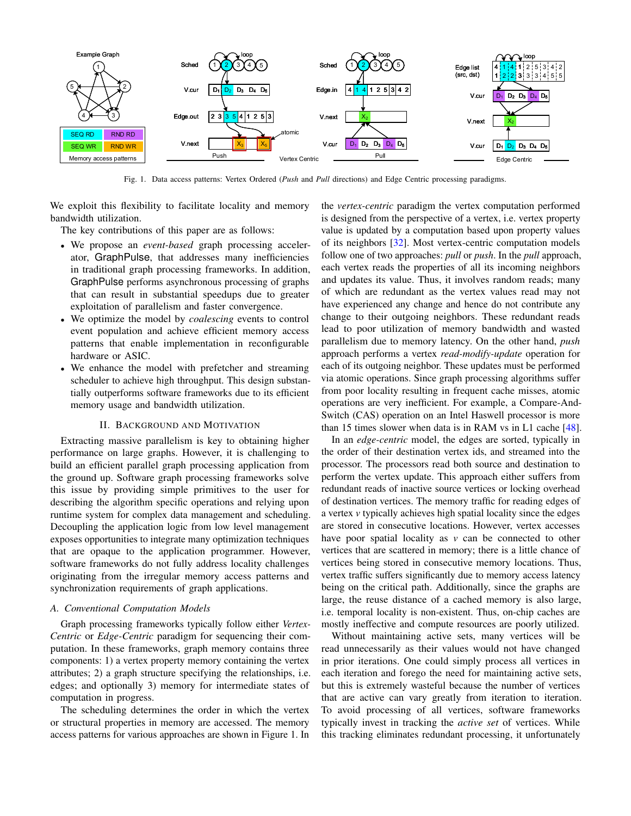

<span id="page-2-1"></span>Fig. 1. Data access patterns: Vertex Ordered (*Push* and *Pull* directions) and Edge Centric processing paradigms.

We exploit this flexibility to facilitate locality and memory bandwidth utilization.

The key contributions of this paper are as follows:

- We propose an *event-based* graph processing accelerator, GraphPulse, that addresses many inefficiencies in traditional graph processing frameworks. In addition, GraphPulse performs asynchronous processing of graphs that can result in substantial speedups due to greater exploitation of parallelism and faster convergence.
- We optimize the model by *coalescing* events to control event population and achieve efficient memory access patterns that enable implementation in reconfigurable hardware or ASIC.
- We enhance the model with prefetcher and streaming scheduler to achieve high throughput. This design substantially outperforms software frameworks due to its efficient memory usage and bandwidth utilization.

## II. BACKGROUND AND MOTIVATION

<span id="page-2-0"></span>Extracting massive parallelism is key to obtaining higher performance on large graphs. However, it is challenging to build an efficient parallel graph processing application from the ground up. Software graph processing frameworks solve this issue by providing simple primitives to the user for describing the algorithm specific operations and relying upon runtime system for complex data management and scheduling. Decoupling the application logic from low level management exposes opportunities to integrate many optimization techniques that are opaque to the application programmer. However, software frameworks do not fully address locality challenges originating from the irregular memory access patterns and synchronization requirements of graph applications.

#### *A. Conventional Computation Models*

Graph processing frameworks typically follow either *Vertex-Centric* or *Edge-Centric* paradigm for sequencing their computation. In these frameworks, graph memory contains three components: 1) a vertex property memory containing the vertex attributes; 2) a graph structure specifying the relationships, i.e. edges; and optionally 3) memory for intermediate states of computation in progress.

The scheduling determines the order in which the vertex or structural properties in memory are accessed. The memory access patterns for various approaches are shown in Figure [1.](#page-2-1) In the *vertex-centric* paradigm the vertex computation performed is designed from the perspective of a vertex, i.e. vertex property value is updated by a computation based upon property values of its neighbors [\[32\]](#page-13-18). Most vertex-centric computation models follow one of two approaches: *pull* or *push*. In the *pull* approach, each vertex reads the properties of all its incoming neighbors and updates its value. Thus, it involves random reads; many of which are redundant as the vertex values read may not have experienced any change and hence do not contribute any change to their outgoing neighbors. These redundant reads lead to poor utilization of memory bandwidth and wasted parallelism due to memory latency. On the other hand, *push* approach performs a vertex *read-modify-update* operation for each of its outgoing neighbor. These updates must be performed via atomic operations. Since graph processing algorithms suffer from poor locality resulting in frequent cache misses, atomic operations are very inefficient. For example, a Compare-And-Switch (CAS) operation on an Intel Haswell processor is more than 15 times slower when data is in RAM vs in L1 cache [\[48\]](#page-13-19).

In an *edge-centric* model, the edges are sorted, typically in the order of their destination vertex ids, and streamed into the processor. The processors read both source and destination to perform the vertex update. This approach either suffers from redundant reads of inactive source vertices or locking overhead of destination vertices. The memory traffic for reading edges of a vertex *v* typically achieves high spatial locality since the edges are stored in consecutive locations. However, vertex accesses have poor spatial locality as *v* can be connected to other vertices that are scattered in memory; there is a little chance of vertices being stored in consecutive memory locations. Thus, vertex traffic suffers significantly due to memory access latency being on the critical path. Additionally, since the graphs are large, the reuse distance of a cached memory is also large, i.e. temporal locality is non-existent. Thus, on-chip caches are mostly ineffective and compute resources are poorly utilized.

Without maintaining active sets, many vertices will be read unnecessarily as their values would not have changed in prior iterations. One could simply process all vertices in each iteration and forego the need for maintaining active sets, but this is extremely wasteful because the number of vertices that are active can vary greatly from iteration to iteration. To avoid processing of all vertices, software frameworks typically invest in tracking the *active set* of vertices. While this tracking eliminates redundant processing, it unfortunately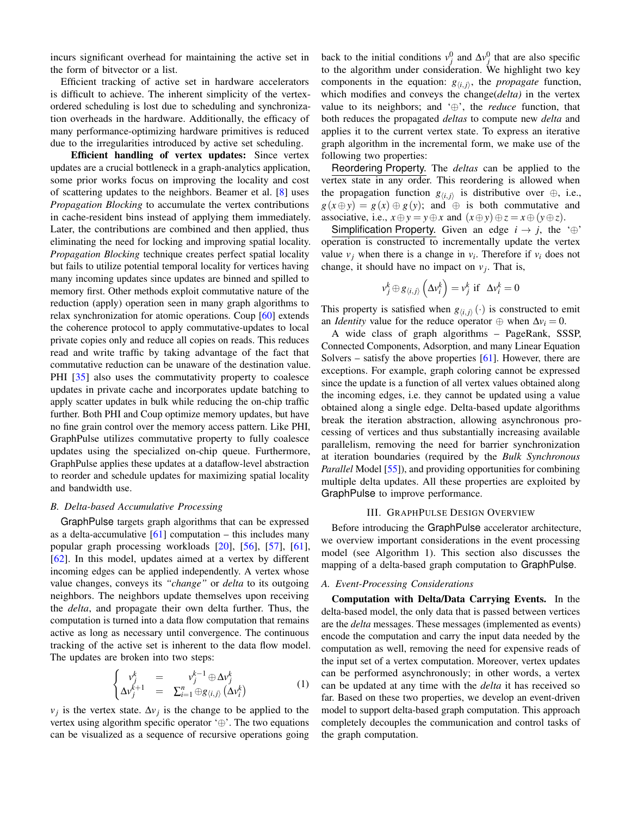incurs significant overhead for maintaining the active set in the form of bitvector or a list.

Efficient tracking of active set in hardware accelerators is difficult to achieve. The inherent simplicity of the vertexordered scheduling is lost due to scheduling and synchronization overheads in the hardware. Additionally, the efficacy of many performance-optimizing hardware primitives is reduced due to the irregularities introduced by active set scheduling.

Efficient handling of vertex updates: Since vertex updates are a crucial bottleneck in a graph-analytics application, some prior works focus on improving the locality and cost of scattering updates to the neighbors. Beamer et al. [\[8\]](#page-12-13) uses *Propagation Blocking* to accumulate the vertex contributions in cache-resident bins instead of applying them immediately. Later, the contributions are combined and then applied, thus eliminating the need for locking and improving spatial locality. *Propagation Blocking* technique creates perfect spatial locality but fails to utilize potential temporal locality for vertices having many incoming updates since updates are binned and spilled to memory first. Other methods exploit commutative nature of the reduction (apply) operation seen in many graph algorithms to relax synchronization for atomic operations. Coup [\[60\]](#page-13-20) extends the coherence protocol to apply commutative-updates to local private copies only and reduce all copies on reads. This reduces read and write traffic by taking advantage of the fact that commutative reduction can be unaware of the destination value. PHI [\[35\]](#page-13-21) also uses the commutativity property to coalesce updates in private cache and incorporates update batching to apply scatter updates in bulk while reducing the on-chip traffic further. Both PHI and Coup optimize memory updates, but have no fine grain control over the memory access pattern. Like PHI, GraphPulse utilizes commutative property to fully coalesce updates using the specialized on-chip queue. Furthermore, GraphPulse applies these updates at a dataflow-level abstraction to reorder and schedule updates for maximizing spatial locality and bandwidth use.

## <span id="page-3-1"></span>*B. Delta-based Accumulative Processing*

GraphPulse targets graph algorithms that can be expressed as a delta-accumulative  $[61]$  computation – this includes many popular graph processing workloads [\[20\]](#page-12-14), [\[56\]](#page-13-13), [\[57\]](#page-13-22), [\[61\]](#page-13-17), [\[62\]](#page-13-14). In this model, updates aimed at a vertex by different incoming edges can be applied independently. A vertex whose value changes, conveys its *"change"* or *delta* to its outgoing neighbors. The neighbors update themselves upon receiving the *delta*, and propagate their own delta further. Thus, the computation is turned into a data flow computation that remains active as long as necessary until convergence. The continuous tracking of the active set is inherent to the data flow model. The updates are broken into two steps:

$$
\begin{cases}\nv_j^k = v_j^{k-1} \oplus \Delta v_j^k \\
\Delta v_j^{k+1} = \sum_{i=1}^n \oplus g_{\langle i,j \rangle} (\Delta v_i^k)\n\end{cases} (1)
$$

 $v_j$  is the vertex state.  $\Delta v_j$  is the change to be applied to the vertex using algorithm specific operator '⊕'. The two equations can be visualized as a sequence of recursive operations going

back to the initial conditions  $v_j^0$  and  $\Delta v_j^0$  that are also specific to the algorithm under consideration. We highlight two key components in the equation:  $g_{\langle i,j \rangle}$ , the *propagate* function, which modifies and conveys the change(*delta)* in the vertex value to its neighbors; and '⊕', the *reduce* function, that both reduces the propagated *deltas* to compute new *delta* and applies it to the current vertex state. To express an iterative graph algorithm in the incremental form, we make use of the following two properties:

Reordering Property. The *deltas* can be applied to the vertex state in any order. This reordering is allowed when the propagation function  $g_{\langle i,j \rangle}$  is distributive over  $\oplus$ , i.e.,  $g(x \oplus y) = g(x) \oplus g(y)$ ; and  $\oplus$  is both commutative and associative, i.e.,  $x \oplus y = y \oplus x$  and  $(x \oplus y) \oplus z = x \oplus (y \oplus z)$ .

Simplification Property. Given an edge  $i \rightarrow j$ , the '⊕' operation is constructed to incrementally update the vertex value  $v_j$  when there is a change in  $v_i$ . Therefore if  $v_i$  does not change, it should have no impact on  $v_j$ . That is,

$$
v_j^k \oplus g_{\langle i,j\rangle} \left(\Delta v_i^k\right) = v_j^k \text{ if } \Delta v_i^k = 0
$$

This property is satisfied when  $g_{\langle i,j \rangle}(\cdot)$  is constructed to emit an *Identity* value for the reduce operator  $\oplus$  when  $\Delta v_i = 0$ .

A wide class of graph algorithms – PageRank, SSSP, Connected Components, Adsorption, and many Linear Equation Solvers – satisfy the above properties  $[61]$ . However, there are exceptions. For example, graph coloring cannot be expressed since the update is a function of all vertex values obtained along the incoming edges, i.e. they cannot be updated using a value obtained along a single edge. Delta-based update algorithms break the iteration abstraction, allowing asynchronous processing of vertices and thus substantially increasing available parallelism, removing the need for barrier synchronization at iteration boundaries (required by the *Bulk Synchronous Parallel* Model [\[55\]](#page-13-23)), and providing opportunities for combining multiple delta updates. All these properties are exploited by GraphPulse to improve performance.

### III. GRAPHPULSE DESIGN OVERVIEW

<span id="page-3-0"></span>Before introducing the GraphPulse accelerator architecture, we overview important considerations in the event processing model (see Algorithm [1\)](#page-4-0). This section also discusses the mapping of a delta-based graph computation to GraphPulse.

#### <span id="page-3-2"></span>*A. Event-Processing Considerations*

Computation with Delta/Data Carrying Events. In the delta-based model, the only data that is passed between vertices are the *delta* messages. These messages (implemented as events) encode the computation and carry the input data needed by the computation as well, removing the need for expensive reads of the input set of a vertex computation. Moreover, vertex updates can be performed asynchronously; in other words, a vertex can be updated at any time with the *delta* it has received so far. Based on these two properties, we develop an event-driven model to support delta-based graph computation. This approach completely decouples the communication and control tasks of the graph computation.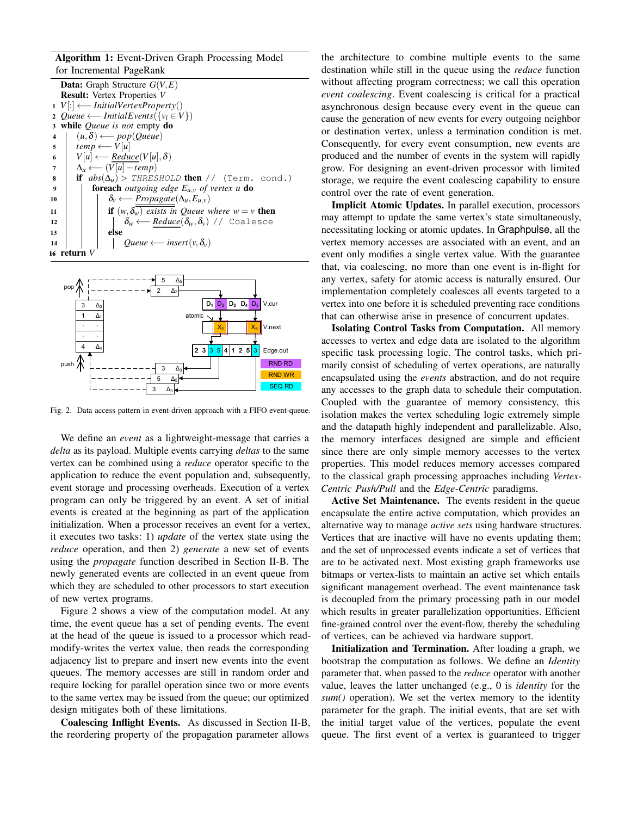Algorithm 1: Event-Driven Graph Processing Model for Incremental PageRank

| <b>Data:</b> Graph Structure $G(V, E)$                                             |
|------------------------------------------------------------------------------------|
| <b>Result:</b> Vertex Properties V                                                 |
| $1  V $ : $\longleftarrow$ InitialVertexProperty()                                 |
| 2 <i>Queue</i> $\longleftarrow$ <i>InitialEvents</i> ({ $v_i \in V$ })             |
| while <i>Queue</i> is not empty $\bf{do}$<br>3                                     |
| $(u, \delta) \longleftarrow pop(Queue)$<br>$\overline{\mathbf{4}}$                 |
| $temp \longleftarrow V u $<br>5                                                    |
| $V u  \leftarrow Reduce(V u , \delta)$<br>6                                        |
| $\Delta_u \longleftarrow (V[u] - temp)$<br>7                                       |
| if $abs(\Delta_u)$ > THRESHOLD then // (Term. cond.)<br>8                          |
| foreach outgoing edge $E_{u,v}$ of vertex u do<br>9                                |
| $\delta_v \longleftarrow Propagate(\Delta_u, E_{u,v})$<br>10                       |
| if $(w, \delta_w)$ exists in Queue where $w = v$ then<br>11                        |
| $\delta_w \longleftarrow$ <i>Reduce</i> ( $\delta_w, \delta_v$ ) // Coalesce<br>12 |
| else<br>13                                                                         |
| Queue $\longleftarrow$ insert $(v, \delta_v)$<br>14                                |
| 16 return V                                                                        |
|                                                                                    |

<span id="page-4-0"></span>

<span id="page-4-1"></span>Fig. 2. Data access pattern in event-driven approach with a FIFO event-queue.

We define an *event* as a lightweight-message that carries a *delta* as its payload. Multiple events carrying *deltas* to the same vertex can be combined using a *reduce* operator specific to the application to reduce the event population and, subsequently, event storage and processing overheads. Execution of a vertex program can only be triggered by an event. A set of initial events is created at the beginning as part of the application initialization. When a processor receives an event for a vertex, it executes two tasks: 1) *update* of the vertex state using the *reduce* operation, and then 2) *generate* a new set of events using the *propagate* function described in Section [II-B.](#page-3-1) The newly generated events are collected in an event queue from which they are scheduled to other processors to start execution of new vertex programs.

Figure [2](#page-4-1) shows a view of the computation model. At any time, the event queue has a set of pending events. The event at the head of the queue is issued to a processor which readmodify-writes the vertex value, then reads the corresponding adjacency list to prepare and insert new events into the event queues. The memory accesses are still in random order and require locking for parallel operation since two or more events to the same vertex may be issued from the queue; our optimized design mitigates both of these limitations.

Coalescing Inflight Events. As discussed in Section [II-B,](#page-3-1) the reordering property of the propagation parameter allows

the architecture to combine multiple events to the same destination while still in the queue using the *reduce* function without affecting program correctness; we call this operation *event coalescing*. Event coalescing is critical for a practical asynchronous design because every event in the queue can cause the generation of new events for every outgoing neighbor or destination vertex, unless a termination condition is met. Consequently, for every event consumption, new events are produced and the number of events in the system will rapidly grow. For designing an event-driven processor with limited storage, we require the event coalescing capability to ensure control over the rate of event generation.

Implicit Atomic Updates. In parallel execution, processors may attempt to update the same vertex's state simultaneously, necessitating locking or atomic updates. In Graphpulse, all the vertex memory accesses are associated with an event, and an event only modifies a single vertex value. With the guarantee that, via coalescing, no more than one event is in-flight for any vertex, safety for atomic access is naturally ensured. Our implementation completely coalesces all events targeted to a vertex into one before it is scheduled preventing race conditions that can otherwise arise in presence of concurrent updates.

Isolating Control Tasks from Computation. All memory accesses to vertex and edge data are isolated to the algorithm specific task processing logic. The control tasks, which primarily consist of scheduling of vertex operations, are naturally encapsulated using the *events* abstraction, and do not require any accesses to the graph data to schedule their computation. Coupled with the guarantee of memory consistency, this isolation makes the vertex scheduling logic extremely simple and the datapath highly independent and parallelizable. Also, the memory interfaces designed are simple and efficient since there are only simple memory accesses to the vertex properties. This model reduces memory accesses compared to the classical graph processing approaches including *Vertex-Centric Push/Pull* and the *Edge-Centric* paradigms.

Active Set Maintenance. The events resident in the queue encapsulate the entire active computation, which provides an alternative way to manage *active sets* using hardware structures. Vertices that are inactive will have no events updating them; and the set of unprocessed events indicate a set of vertices that are to be activated next. Most existing graph frameworks use bitmaps or vertex-lists to maintain an active set which entails significant management overhead. The event maintenance task is decoupled from the primary processing path in our model which results in greater parallelization opportunities. Efficient fine-grained control over the event-flow, thereby the scheduling of vertices, can be achieved via hardware support.

Initialization and Termination. After loading a graph, we bootstrap the computation as follows. We define an *Identity* parameter that, when passed to the *reduce* operator with another value, leaves the latter unchanged (e.g., 0 is *identity* for the *sum()* operation). We set the vertex memory to the identity parameter for the graph. The initial events, that are set with the initial target value of the vertices, populate the event queue. The first event of a vertex is guaranteed to trigger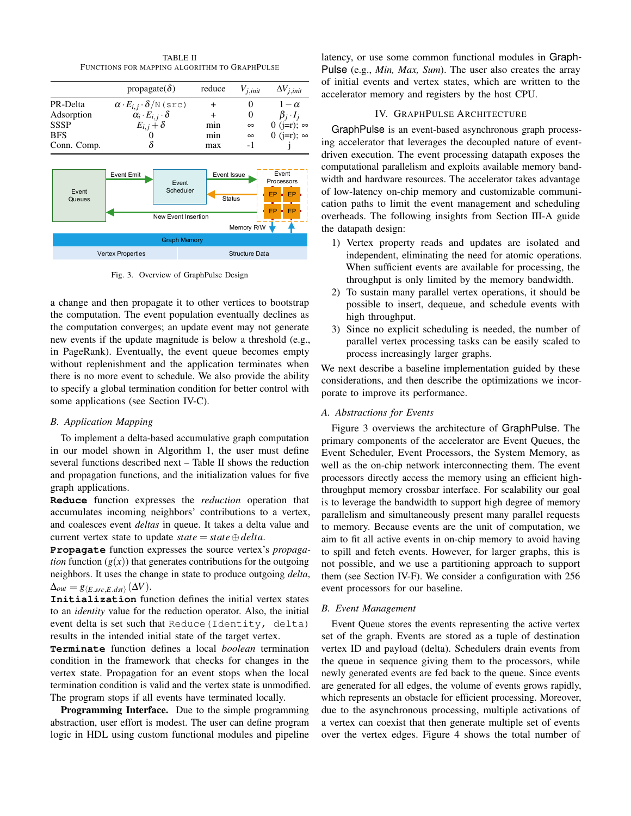TABLE II FUNCTIONS FOR MAPPING ALGORITHM TO GRAPHPULSE

<span id="page-5-1"></span>

|                     | propagate( $\delta$ )                         | reduce                | $V_{j,init}$                 | $\Delta V_{j,init}$             |  |  |
|---------------------|-----------------------------------------------|-----------------------|------------------------------|---------------------------------|--|--|
| PR-Delta            | $\alpha \cdot E_{i,j} \cdot \delta/N$ (src)   | $\ddot{}$             | 0                            | $1-\alpha$                      |  |  |
| Adsorption          | $\alpha_i \cdot E_{i,j} \cdot \delta$         |                       | 0                            | $\beta_i \cdot I_i$             |  |  |
| <b>SSSP</b>         | $E_{i,j}+\delta$                              | min                   | $\infty$                     | 0 (j=r); $\infty$               |  |  |
| <b>BFS</b>          |                                               | min                   | $\infty$                     | 0 ( $j=r$ ); $\infty$           |  |  |
| Conn. Comp.         |                                               | max                   | $-1$                         |                                 |  |  |
| Event<br>Queues     | <b>Event Emit</b>                             | Event<br>Scheduler    | Event Issue<br><b>Status</b> | Event<br>Processors<br>EP<br>EP |  |  |
|                     | EP<br>EP<br>New Event Insertion<br>Memory R/W |                       |                              |                                 |  |  |
| <b>Graph Memory</b> |                                               |                       |                              |                                 |  |  |
|                     | <b>Vertex Properties</b>                      | <b>Structure Data</b> |                              |                                 |  |  |

<span id="page-5-2"></span>Fig. 3. Overview of GraphPulse Design

a change and then propagate it to other vertices to bootstrap the computation. The event population eventually declines as the computation converges; an update event may not generate new events if the update magnitude is below a threshold (e.g., in PageRank). Eventually, the event queue becomes empty without replenishment and the application terminates when there is no more event to schedule. We also provide the ability to specify a global termination condition for better control with some applications (see Section [IV-C\)](#page-6-0).

# *B. Application Mapping*

To implement a delta-based accumulative graph computation in our model shown in Algorithm [1,](#page-4-0) the user must define several functions described next – Table [II](#page-5-1) shows the reduction and propagation functions, and the initialization values for five graph applications.

**Reduce** function expresses the *reduction* operation that accumulates incoming neighbors' contributions to a vertex, and coalesces event *deltas* in queue. It takes a delta value and current vertex state to update  $state = state \oplus delta$ .

**Propagate** function expresses the source vertex's *propagation* function  $(g(x))$  that generates contributions for the outgoing neighbors. It uses the change in state to produce outgoing *delta*,  $\Delta_{out} = g_{\left\langle E.\textit{src},E.\textit{dst}\right\rangle }(\Delta V).$ 

**Initialization** function defines the initial vertex states to an *identity* value for the reduction operator. Also, the initial event delta is set such that Reduce(Identity, delta) results in the intended initial state of the target vertex.

**Terminate** function defines a local *boolean* termination condition in the framework that checks for changes in the vertex state. Propagation for an event stops when the local termination condition is valid and the vertex state is unmodified. The program stops if all events have terminated locally.

Programming Interface. Due to the simple programming abstraction, user effort is modest. The user can define program logic in HDL using custom functional modules and pipeline latency, or use some common functional modules in Graph-Pulse (e.g., *Min, Max, Sum*). The user also creates the array of initial events and vertex states, which are written to the accelerator memory and registers by the host CPU.

# IV. GRAPHPULSE ARCHITECTURE

<span id="page-5-0"></span>GraphPulse is an event-based asynchronous graph processing accelerator that leverages the decoupled nature of eventdriven execution. The event processing datapath exposes the computational parallelism and exploits available memory bandwidth and hardware resources. The accelerator takes advantage of low-latency on-chip memory and customizable communication paths to limit the event management and scheduling overheads. The following insights from Section [III-A](#page-3-2) guide the datapath design:

- 1) Vertex property reads and updates are isolated and independent, eliminating the need for atomic operations. When sufficient events are available for processing, the throughput is only limited by the memory bandwidth.
- 2) To sustain many parallel vertex operations, it should be possible to insert, dequeue, and schedule events with high throughput.
- 3) Since no explicit scheduling is needed, the number of parallel vertex processing tasks can be easily scaled to process increasingly larger graphs.

We next describe a baseline implementation guided by these considerations, and then describe the optimizations we incorporate to improve its performance.

# *A. Abstractions for Events*

Figure [3](#page-5-2) overviews the architecture of GraphPulse. The primary components of the accelerator are Event Queues, the Event Scheduler, Event Processors, the System Memory, as well as the on-chip network interconnecting them. The event processors directly access the memory using an efficient highthroughput memory crossbar interface. For scalability our goal is to leverage the bandwidth to support high degree of memory parallelism and simultaneously present many parallel requests to memory. Because events are the unit of computation, we aim to fit all active events in on-chip memory to avoid having to spill and fetch events. However, for larger graphs, this is not possible, and we use a partitioning approach to support them (see Section [IV-F\)](#page-8-1). We consider a configuration with 256 event processors for our baseline.

#### *B. Event Management*

Event Queue stores the events representing the active vertex set of the graph. Events are stored as a tuple of destination vertex ID and payload (delta). Schedulers drain events from the queue in sequence giving them to the processors, while newly generated events are fed back to the queue. Since events are generated for all edges, the volume of events grows rapidly, which represents an obstacle for efficient processing. Moreover, due to the asynchronous processing, multiple activations of a vertex can coexist that then generate multiple set of events over the vertex edges. Figure [4](#page-6-1) shows the total number of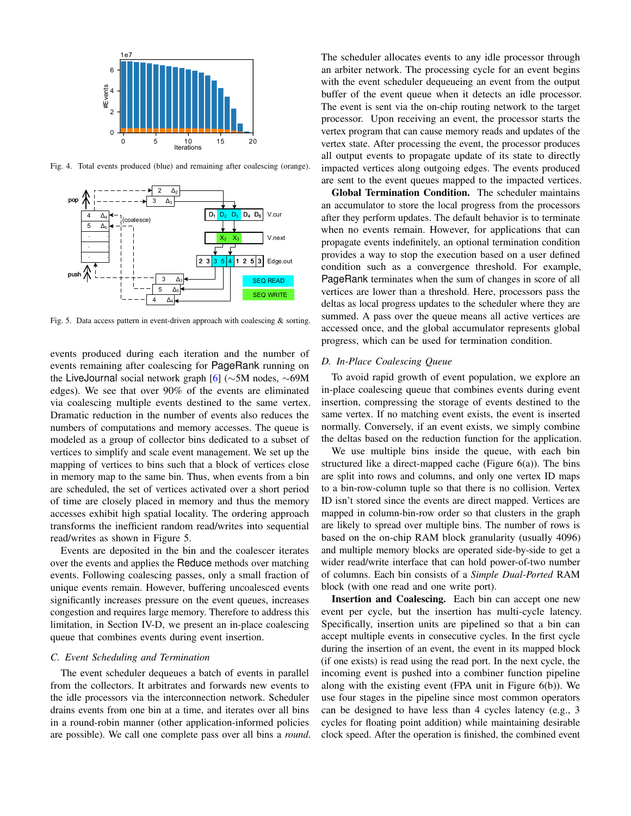

<span id="page-6-1"></span>Fig. 4. Total events produced (blue) and remaining after coalescing (orange).



<span id="page-6-2"></span>Fig. 5. Data access pattern in event-driven approach with coalescing & sorting.

events produced during each iteration and the number of events remaining after coalescing for PageRank running on the LiveJournal social network graph [\[6\]](#page-12-15) (∼5M nodes, ∼69M edges). We see that over 90% of the events are eliminated via coalescing multiple events destined to the same vertex. Dramatic reduction in the number of events also reduces the numbers of computations and memory accesses. The queue is modeled as a group of collector bins dedicated to a subset of vertices to simplify and scale event management. We set up the mapping of vertices to bins such that a block of vertices close in memory map to the same bin. Thus, when events from a bin are scheduled, the set of vertices activated over a short period of time are closely placed in memory and thus the memory accesses exhibit high spatial locality. The ordering approach transforms the inefficient random read/writes into sequential read/writes as shown in Figure [5.](#page-6-2)

Events are deposited in the bin and the coalescer iterates over the events and applies the Reduce methods over matching events. Following coalescing passes, only a small fraction of unique events remain. However, buffering uncoalesced events significantly increases pressure on the event queues, increases congestion and requires large memory. Therefore to address this limitation, in Section [IV-D,](#page-6-3) we present an in-place coalescing queue that combines events during event insertion.

#### <span id="page-6-0"></span>*C. Event Scheduling and Termination*

The event scheduler dequeues a batch of events in parallel from the collectors. It arbitrates and forwards new events to the idle processors via the interconnection network. Scheduler drains events from one bin at a time, and iterates over all bins in a round-robin manner (other application-informed policies are possible). We call one complete pass over all bins a *round*. The scheduler allocates events to any idle processor through an arbiter network. The processing cycle for an event begins with the event scheduler dequeueing an event from the output buffer of the event queue when it detects an idle processor. The event is sent via the on-chip routing network to the target processor. Upon receiving an event, the processor starts the vertex program that can cause memory reads and updates of the vertex state. After processing the event, the processor produces all output events to propagate update of its state to directly impacted vertices along outgoing edges. The events produced are sent to the event queues mapped to the impacted vertices.

Global Termination Condition. The scheduler maintains an accumulator to store the local progress from the processors after they perform updates. The default behavior is to terminate when no events remain. However, for applications that can propagate events indefinitely, an optional termination condition provides a way to stop the execution based on a user defined condition such as a convergence threshold. For example, PageRank terminates when the sum of changes in score of all vertices are lower than a threshold. Here, processors pass the deltas as local progress updates to the scheduler where they are summed. A pass over the queue means all active vertices are accessed once, and the global accumulator represents global progress, which can be used for termination condition.

# <span id="page-6-3"></span>*D. In-Place Coalescing Queue*

To avoid rapid growth of event population, we explore an in-place coalescing queue that combines events during event insertion, compressing the storage of events destined to the same vertex. If no matching event exists, the event is inserted normally. Conversely, if an event exists, we simply combine the deltas based on the reduction function for the application.

We use multiple bins inside the queue, with each bin structured like a direct-mapped cache (Figure  $6(a)$ ). The bins are split into rows and columns, and only one vertex ID maps to a bin-row-column tuple so that there is no collision. Vertex ID isn't stored since the events are direct mapped. Vertices are mapped in column-bin-row order so that clusters in the graph are likely to spread over multiple bins. The number of rows is based on the on-chip RAM block granularity (usually 4096) and multiple memory blocks are operated side-by-side to get a wider read/write interface that can hold power-of-two number of columns. Each bin consists of a *Simple Dual-Ported* RAM block (with one read and one write port).

Insertion and Coalescing. Each bin can accept one new event per cycle, but the insertion has multi-cycle latency. Specifically, insertion units are pipelined so that a bin can accept multiple events in consecutive cycles. In the first cycle during the insertion of an event, the event in its mapped block (if one exists) is read using the read port. In the next cycle, the incoming event is pushed into a combiner function pipeline along with the existing event (FPA unit in Figure [6\(b\)\)](#page-7-1). We use four stages in the pipeline since most common operators can be designed to have less than 4 cycles latency (e.g., 3 cycles for floating point addition) while maintaining desirable clock speed. After the operation is finished, the combined event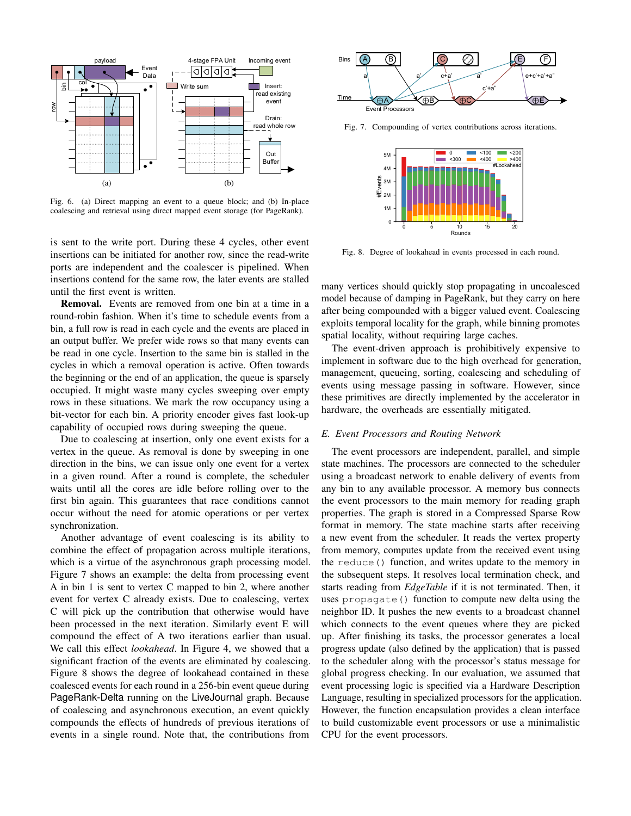<span id="page-7-0"></span>

<span id="page-7-1"></span>Fig. 6. (a) Direct mapping an event to a queue block; and (b) In-place coalescing and retrieval using direct mapped event storage (for PageRank).

is sent to the write port. During these 4 cycles, other event insertions can be initiated for another row, since the read-write ports are independent and the coalescer is pipelined. When insertions contend for the same row, the later events are stalled until the first event is written.

Removal. Events are removed from one bin at a time in a round-robin fashion. When it's time to schedule events from a bin, a full row is read in each cycle and the events are placed in an output buffer. We prefer wide rows so that many events can be read in one cycle. Insertion to the same bin is stalled in the cycles in which a removal operation is active. Often towards the beginning or the end of an application, the queue is sparsely occupied. It might waste many cycles sweeping over empty rows in these situations. We mark the row occupancy using a bit-vector for each bin. A priority encoder gives fast look-up capability of occupied rows during sweeping the queue.

Due to coalescing at insertion, only one event exists for a vertex in the queue. As removal is done by sweeping in one direction in the bins, we can issue only one event for a vertex in a given round. After a round is complete, the scheduler waits until all the cores are idle before rolling over to the first bin again. This guarantees that race conditions cannot occur without the need for atomic operations or per vertex synchronization.

Another advantage of event coalescing is its ability to combine the effect of propagation across multiple iterations, which is a virtue of the asynchronous graph processing model. Figure [7](#page-7-2) shows an example: the delta from processing event A in bin 1 is sent to vertex C mapped to bin 2, where another event for vertex C already exists. Due to coalescing, vertex C will pick up the contribution that otherwise would have been processed in the next iteration. Similarly event E will compound the effect of A two iterations earlier than usual. We call this effect *lookahead*. In Figure [4,](#page-6-1) we showed that a significant fraction of the events are eliminated by coalescing. Figure [8](#page-7-3) shows the degree of lookahead contained in these coalesced events for each round in a 256-bin event queue during PageRank-Delta running on the LiveJournal graph. Because of coalescing and asynchronous execution, an event quickly compounds the effects of hundreds of previous iterations of events in a single round. Note that, the contributions from



Fig. 7. Compounding of vertex contributions across iterations.

<span id="page-7-2"></span>

<span id="page-7-3"></span>Fig. 8. Degree of lookahead in events processed in each round.

many vertices should quickly stop propagating in uncoalesced model because of damping in PageRank, but they carry on here after being compounded with a bigger valued event. Coalescing exploits temporal locality for the graph, while binning promotes spatial locality, without requiring large caches.

The event-driven approach is prohibitively expensive to implement in software due to the high overhead for generation, management, queueing, sorting, coalescing and scheduling of events using message passing in software. However, since these primitives are directly implemented by the accelerator in hardware, the overheads are essentially mitigated.

#### *E. Event Processors and Routing Network*

The event processors are independent, parallel, and simple state machines. The processors are connected to the scheduler using a broadcast network to enable delivery of events from any bin to any available processor. A memory bus connects the event processors to the main memory for reading graph properties. The graph is stored in a Compressed Sparse Row format in memory. The state machine starts after receiving a new event from the scheduler. It reads the vertex property from memory, computes update from the received event using the reduce() function, and writes update to the memory in the subsequent steps. It resolves local termination check, and starts reading from *EdgeTable* if it is not terminated. Then, it uses propagate() function to compute new delta using the neighbor ID. It pushes the new events to a broadcast channel which connects to the event queues where they are picked up. After finishing its tasks, the processor generates a local progress update (also defined by the application) that is passed to the scheduler along with the processor's status message for global progress checking. In our evaluation, we assumed that event processing logic is specified via a Hardware Description Language, resulting in specialized processors for the application. However, the function encapsulation provides a clean interface to build customizable event processors or use a minimalistic CPU for the event processors.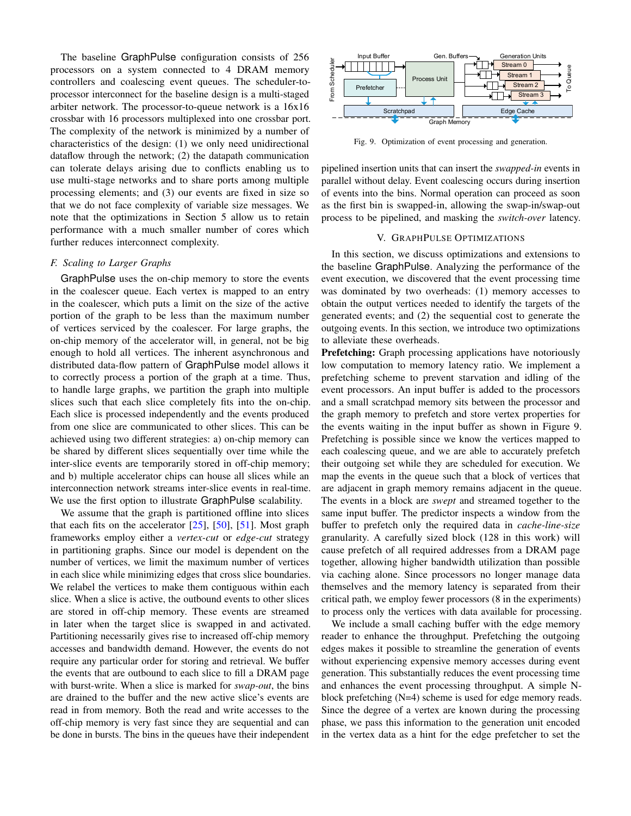The baseline GraphPulse configuration consists of 256 processors on a system connected to 4 DRAM memory controllers and coalescing event queues. The scheduler-toprocessor interconnect for the baseline design is a multi-staged arbiter network. The processor-to-queue network is a 16x16 crossbar with 16 processors multiplexed into one crossbar port. The complexity of the network is minimized by a number of characteristics of the design: (1) we only need unidirectional dataflow through the network; (2) the datapath communication can tolerate delays arising due to conflicts enabling us to use multi-stage networks and to share ports among multiple processing elements; and (3) our events are fixed in size so that we do not face complexity of variable size messages. We note that the optimizations in Section 5 allow us to retain performance with a much smaller number of cores which further reduces interconnect complexity.

#### <span id="page-8-1"></span>*F. Scaling to Larger Graphs*

GraphPulse uses the on-chip memory to store the events in the coalescer queue. Each vertex is mapped to an entry in the coalescer, which puts a limit on the size of the active portion of the graph to be less than the maximum number of vertices serviced by the coalescer. For large graphs, the on-chip memory of the accelerator will, in general, not be big enough to hold all vertices. The inherent asynchronous and distributed data-flow pattern of GraphPulse model allows it to correctly process a portion of the graph at a time. Thus, to handle large graphs, we partition the graph into multiple slices such that each slice completely fits into the on-chip. Each slice is processed independently and the events produced from one slice are communicated to other slices. This can be achieved using two different strategies: a) on-chip memory can be shared by different slices sequentially over time while the inter-slice events are temporarily stored in off-chip memory; and b) multiple accelerator chips can house all slices while an interconnection network streams inter-slice events in real-time. We use the first option to illustrate GraphPulse scalability.

We assume that the graph is partitioned offline into slices that each fits on the accelerator  $[25]$ ,  $[50]$ ,  $[51]$ . Most graph frameworks employ either a *vertex-cut* or *edge-cut* strategy in partitioning graphs. Since our model is dependent on the number of vertices, we limit the maximum number of vertices in each slice while minimizing edges that cross slice boundaries. We relabel the vertices to make them contiguous within each slice. When a slice is active, the outbound events to other slices are stored in off-chip memory. These events are streamed in later when the target slice is swapped in and activated. Partitioning necessarily gives rise to increased off-chip memory accesses and bandwidth demand. However, the events do not require any particular order for storing and retrieval. We buffer the events that are outbound to each slice to fill a DRAM page with burst-write. When a slice is marked for *swap-out*, the bins are drained to the buffer and the new active slice's events are read in from memory. Both the read and write accesses to the off-chip memory is very fast since they are sequential and can be done in bursts. The bins in the queues have their independent



<span id="page-8-2"></span>Fig. 9. Optimization of event processing and generation.

pipelined insertion units that can insert the *swapped-in* events in parallel without delay. Event coalescing occurs during insertion of events into the bins. Normal operation can proceed as soon as the first bin is swapped-in, allowing the swap-in/swap-out process to be pipelined, and masking the *switch-over* latency.

# V. GRAPHPULSE OPTIMIZATIONS

<span id="page-8-0"></span>In this section, we discuss optimizations and extensions to the baseline GraphPulse. Analyzing the performance of the event execution, we discovered that the event processing time was dominated by two overheads: (1) memory accesses to obtain the output vertices needed to identify the targets of the generated events; and (2) the sequential cost to generate the outgoing events. In this section, we introduce two optimizations to alleviate these overheads.

Prefetching: Graph processing applications have notoriously low computation to memory latency ratio. We implement a prefetching scheme to prevent starvation and idling of the event processors. An input buffer is added to the processors and a small scratchpad memory sits between the processor and the graph memory to prefetch and store vertex properties for the events waiting in the input buffer as shown in Figure [9.](#page-8-2) Prefetching is possible since we know the vertices mapped to each coalescing queue, and we are able to accurately prefetch their outgoing set while they are scheduled for execution. We map the events in the queue such that a block of vertices that are adjacent in graph memory remains adjacent in the queue. The events in a block are *swept* and streamed together to the same input buffer. The predictor inspects a window from the buffer to prefetch only the required data in *cache-line-size* granularity. A carefully sized block (128 in this work) will cause prefetch of all required addresses from a DRAM page together, allowing higher bandwidth utilization than possible via caching alone. Since processors no longer manage data themselves and the memory latency is separated from their critical path, we employ fewer processors (8 in the experiments) to process only the vertices with data available for processing.

We include a small caching buffer with the edge memory reader to enhance the throughput. Prefetching the outgoing edges makes it possible to streamline the generation of events without experiencing expensive memory accesses during event generation. This substantially reduces the event processing time and enhances the event processing throughput. A simple Nblock prefetching (N=4) scheme is used for edge memory reads. Since the degree of a vertex are known during the processing phase, we pass this information to the generation unit encoded in the vertex data as a hint for the edge prefetcher to set the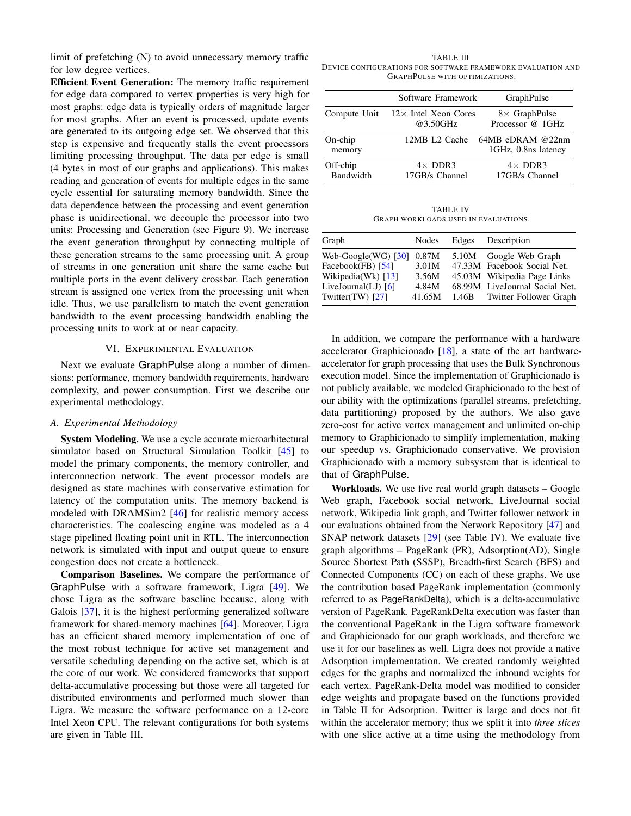limit of prefetching (N) to avoid unnecessary memory traffic for low degree vertices.

Efficient Event Generation: The memory traffic requirement for edge data compared to vertex properties is very high for most graphs: edge data is typically orders of magnitude larger for most graphs. After an event is processed, update events are generated to its outgoing edge set. We observed that this step is expensive and frequently stalls the event processors limiting processing throughput. The data per edge is small (4 bytes in most of our graphs and applications). This makes reading and generation of events for multiple edges in the same cycle essential for saturating memory bandwidth. Since the data dependence between the processing and event generation phase is unidirectional, we decouple the processor into two units: Processing and Generation (see Figure [9\)](#page-8-2). We increase the event generation throughput by connecting multiple of these generation streams to the same processing unit. A group of streams in one generation unit share the same cache but multiple ports in the event delivery crossbar. Each generation stream is assigned one vertex from the processing unit when idle. Thus, we use parallelism to match the event generation bandwidth to the event processing bandwidth enabling the processing units to work at or near capacity.

#### VI. EXPERIMENTAL EVALUATION

<span id="page-9-0"></span>Next we evaluate GraphPulse along a number of dimensions: performance, memory bandwidth requirements, hardware complexity, and power consumption. First we describe our experimental methodology.

## *A. Experimental Methodology*

System Modeling. We use a cycle accurate microarhitectural simulator based on Structural Simulation Toolkit [\[45\]](#page-13-26) to model the primary components, the memory controller, and interconnection network. The event processor models are designed as state machines with conservative estimation for latency of the computation units. The memory backend is modeled with DRAMSim2 [\[46\]](#page-13-27) for realistic memory access characteristics. The coalescing engine was modeled as a 4 stage pipelined floating point unit in RTL. The interconnection network is simulated with input and output queue to ensure congestion does not create a bottleneck.

Comparison Baselines. We compare the performance of GraphPulse with a software framework, Ligra [\[49\]](#page-13-6). We chose Ligra as the software baseline because, along with Galois [\[37\]](#page-13-4), it is the highest performing generalized software framework for shared-memory machines [\[64\]](#page-13-28). Moreover, Ligra has an efficient shared memory implementation of one of the most robust technique for active set management and versatile scheduling depending on the active set, which is at the core of our work. We considered frameworks that support delta-accumulative processing but those were all targeted for distributed environments and performed much slower than Ligra. We measure the software performance on a 12-core Intel Xeon CPU. The relevant configurations for both systems are given in Table [III.](#page-9-1)

<span id="page-9-1"></span>TABLE III DEVICE CONFIGURATIONS FOR SOFTWARE FRAMEWORK EVALUATION AND GRAPHPULSE WITH OPTIMIZATIONS.

|                              | Software Framework                                    | GraphPulse                                |
|------------------------------|-------------------------------------------------------|-------------------------------------------|
|                              | Compute Unit $12 \times$ Intel Xeon Cores<br>@3.50GHz | $8 \times$ GraphPulse<br>Processor @ 1GHz |
| $On-chip$<br>memory          | 12MB L2 Cache                                         | $64MB$ eDRAM @22nm<br>1GHz, 0.8ns latency |
| Off-chip<br><b>Bandwidth</b> | $4\times$ DDR3<br>17GB/s Channel                      | $4\times$ DDR3<br>17GB/s Channel          |

TABLE IV GRAPH WORKLOADS USED IN EVALUATIONS.

<span id="page-9-2"></span>

| Nodes                           | Edges | Description                    |
|---------------------------------|-------|--------------------------------|
| Web-Google $(WG)$ [30]<br>0.87M |       | 5.10M Google Web Graph         |
| 3.01M                           |       | 47.33M Facebook Social Net.    |
| 3.56M                           |       | 45.03M Wikipedia Page Links    |
| 4.84M                           |       | 68.99M LiveJournal Social Net. |
| 41.65M                          |       | 1.46B Twitter Follower Graph   |
|                                 |       |                                |

In addition, we compare the performance with a hardware accelerator Graphicionado [\[18\]](#page-12-12), a state of the art hardwareaccelerator for graph processing that uses the Bulk Synchronous execution model. Since the implementation of Graphicionado is not publicly available, we modeled Graphicionado to the best of our ability with the optimizations (parallel streams, prefetching, data partitioning) proposed by the authors. We also gave zero-cost for active vertex management and unlimited on-chip memory to Graphicionado to simplify implementation, making our speedup vs. Graphicionado conservative. We provision Graphicionado with a memory subsystem that is identical to that of GraphPulse.

Workloads. We use five real world graph datasets – Google Web graph, Facebook social network, LiveJournal social network, Wikipedia link graph, and Twitter follower network in our evaluations obtained from the Network Repository [\[47\]](#page-13-32) and SNAP network datasets [\[29\]](#page-13-33) (see Table [IV\)](#page-9-2). We evaluate five graph algorithms – PageRank (PR), Adsorption(AD), Single Source Shortest Path (SSSP), Breadth-first Search (BFS) and Connected Components (CC) on each of these graphs. We use the contribution based PageRank implementation (commonly referred to as PageRankDelta), which is a delta-accumulative version of PageRank. PageRankDelta execution was faster than the conventional PageRank in the Ligra software framework and Graphicionado for our graph workloads, and therefore we use it for our baselines as well. Ligra does not provide a native Adsorption implementation. We created randomly weighted edges for the graphs and normalized the inbound weights for each vertex. PageRank-Delta model was modified to consider edge weights and propagate based on the functions provided in Table [II](#page-5-1) for Adsorption. Twitter is large and does not fit within the accelerator memory; thus we split it into *three slices* with one slice active at a time using the methodology from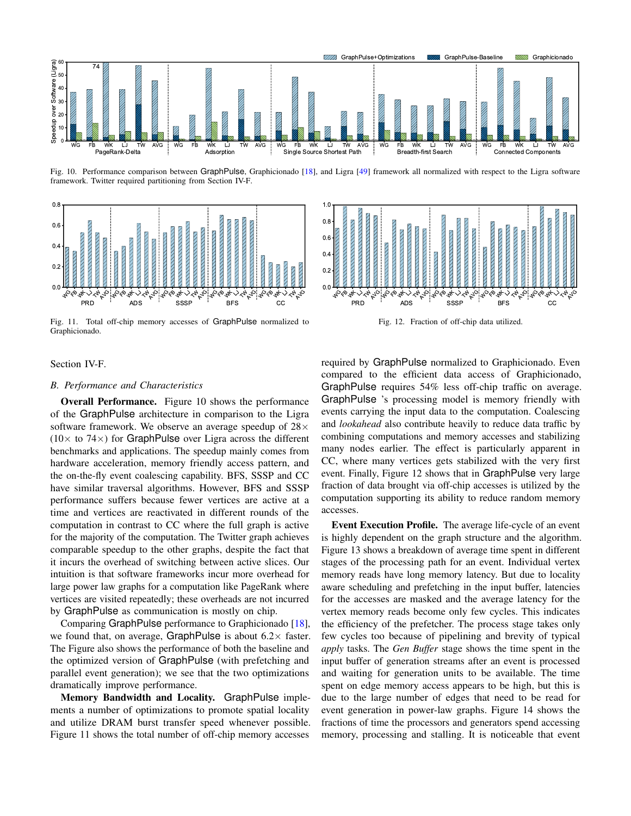

<span id="page-10-0"></span>Fig. 10. Performance comparison between GraphPulse, Graphicionado [\[18\]](#page-12-12), and Ligra [\[49\]](#page-13-6) framework all normalized with respect to the Ligra software framework. Twitter required partitioning from Section [IV-F.](#page-8-1)



<span id="page-10-1"></span>Fig. 11. Total off-chip memory accesses of GraphPulse normalized to Graphicionado.



<span id="page-10-2"></span>Fig. 12. Fraction of off-chip data utilized.

## Section [IV-F.](#page-8-1)

## *B. Performance and Characteristics*

Overall Performance. Figure [10](#page-10-0) shows the performance of the GraphPulse architecture in comparison to the Ligra software framework. We observe an average speedup of  $28\times$  $(10\times$  to 74 $\times$ ) for GraphPulse over Ligra across the different benchmarks and applications. The speedup mainly comes from hardware acceleration, memory friendly access pattern, and the on-the-fly event coalescing capability. BFS, SSSP and CC have similar traversal algorithms. However, BFS and SSSP performance suffers because fewer vertices are active at a time and vertices are reactivated in different rounds of the computation in contrast to CC where the full graph is active for the majority of the computation. The Twitter graph achieves comparable speedup to the other graphs, despite the fact that it incurs the overhead of switching between active slices. Our intuition is that software frameworks incur more overhead for large power law graphs for a computation like PageRank where vertices are visited repeatedly; these overheads are not incurred by GraphPulse as communication is mostly on chip.

Comparing GraphPulse performance to Graphicionado [\[18\]](#page-12-12), we found that, on average, GraphPulse is about  $6.2 \times$  faster. The Figure also shows the performance of both the baseline and the optimized version of GraphPulse (with prefetching and parallel event generation); we see that the two optimizations dramatically improve performance.

Memory Bandwidth and Locality. GraphPulse implements a number of optimizations to promote spatial locality and utilize DRAM burst transfer speed whenever possible. Figure [11](#page-10-1) shows the total number of off-chip memory accesses

required by GraphPulse normalized to Graphicionado. Even compared to the efficient data access of Graphicionado, GraphPulse requires 54% less off-chip traffic on average. GraphPulse 's processing model is memory friendly with events carrying the input data to the computation. Coalescing and *lookahead* also contribute heavily to reduce data traffic by combining computations and memory accesses and stabilizing many nodes earlier. The effect is particularly apparent in CC, where many vertices gets stabilized with the very first event. Finally, Figure [12](#page-10-2) shows that in GraphPulse very large fraction of data brought via off-chip accesses is utilized by the computation supporting its ability to reduce random memory accesses.

Event Execution Profile. The average life-cycle of an event is highly dependent on the graph structure and the algorithm. Figure [13](#page-11-0) shows a breakdown of average time spent in different stages of the processing path for an event. Individual vertex memory reads have long memory latency. But due to locality aware scheduling and prefetching in the input buffer, latencies for the accesses are masked and the average latency for the vertex memory reads become only few cycles. This indicates the efficiency of the prefetcher. The process stage takes only few cycles too because of pipelining and brevity of typical *apply* tasks. The *Gen Buffer* stage shows the time spent in the input buffer of generation streams after an event is processed and waiting for generation units to be available. The time spent on edge memory access appears to be high, but this is due to the large number of edges that need to be read for event generation in power-law graphs. Figure [14](#page-11-1) shows the fractions of time the processors and generators spend accessing memory, processing and stalling. It is noticeable that event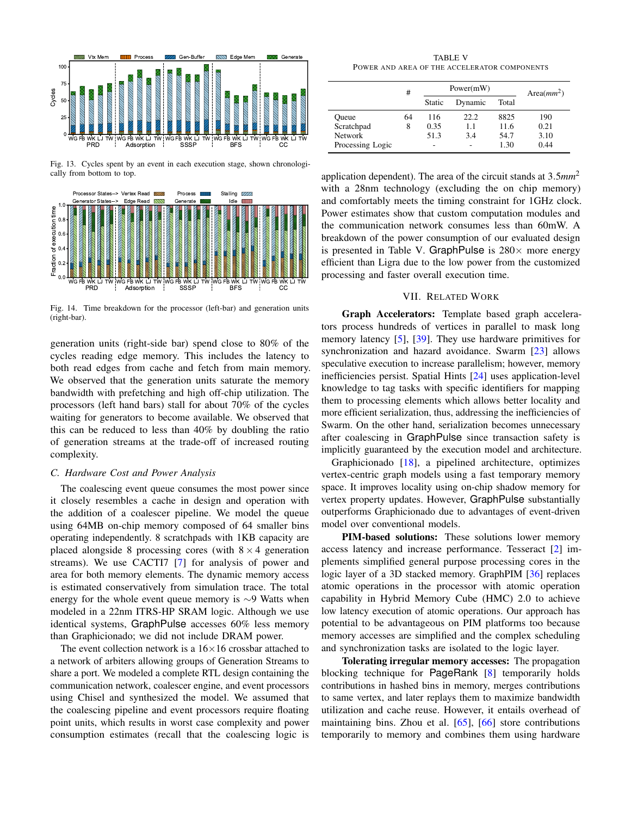

<span id="page-11-0"></span>Fig. 13. Cycles spent by an event in each execution stage, shown chronologically from bottom to top.



<span id="page-11-1"></span>Fig. 14. Time breakdown for the processor (left-bar) and generation units (right-bar).

generation units (right-side bar) spend close to 80% of the cycles reading edge memory. This includes the latency to both read edges from cache and fetch from main memory. We observed that the generation units saturate the memory bandwidth with prefetching and high off-chip utilization. The processors (left hand bars) stall for about 70% of the cycles waiting for generators to become available. We observed that this can be reduced to less than 40% by doubling the ratio of generation streams at the trade-off of increased routing complexity.

# *C. Hardware Cost and Power Analysis*

The coalescing event queue consumes the most power since it closely resembles a cache in design and operation with the addition of a coalescer pipeline. We model the queue using 64MB on-chip memory composed of 64 smaller bins operating independently. 8 scratchpads with 1KB capacity are placed alongside 8 processing cores (with  $8 \times 4$  generation streams). We use CACTI7 [\[7\]](#page-12-18) for analysis of power and area for both memory elements. The dynamic memory access is estimated conservatively from simulation trace. The total energy for the whole event queue memory is ∼9 Watts when modeled in a 22nm ITRS-HP SRAM logic. Although we use identical systems, GraphPulse accesses 60% less memory than Graphicionado; we did not include DRAM power.

The event collection network is a  $16\times16$  crossbar attached to a network of arbiters allowing groups of Generation Streams to share a port. We modeled a complete RTL design containing the communication network, coalescer engine, and event processors using Chisel and synthesized the model. We assumed that the coalescing pipeline and event processors require floating point units, which results in worst case complexity and power consumption estimates (recall that the coalescing logic is

TABLE V POWER AND AREA OF THE ACCELERATOR COMPONENTS

<span id="page-11-2"></span>

|                  | #  | Power(mW) |         |       | Area $(mm^2)$ |
|------------------|----|-----------|---------|-------|---------------|
|                  |    | Static    | Dynamic | Total |               |
| Oueue            | 64 | 116       | 22.2    | 8825  | 190           |
| Scratchpad       | 8  | 0.35      | 1.1     | 11.6  | 0.21          |
| <b>Network</b>   |    | 51.3      | 3.4     | 54.7  | 3.10          |
| Processing Logic |    | -         |         | 1.30  | 0.44          |

application dependent). The area of the circuit stands at 3.5*mm*<sup>2</sup> with a 28nm technology (excluding the on chip memory) and comfortably meets the timing constraint for 1GHz clock. Power estimates show that custom computation modules and the communication network consumes less than 60mW. A breakdown of the power consumption of our evaluated design is presented in Table [V.](#page-11-2) GraphPulse is  $280\times$  more energy efficient than Ligra due to the low power from the customized processing and faster overall execution time.

## VII. RELATED WORK

Graph Accelerators: Template based graph accelerators process hundreds of vertices in parallel to mask long memory latency [\[5\]](#page-12-19), [\[39\]](#page-13-16). They use hardware primitives for synchronization and hazard avoidance. Swarm [\[23\]](#page-12-20) allows speculative execution to increase parallelism; however, memory inefficiencies persist. Spatial Hints [\[24\]](#page-12-21) uses application-level knowledge to tag tasks with specific identifiers for mapping them to processing elements which allows better locality and more efficient serialization, thus, addressing the inefficiencies of Swarm. On the other hand, serialization becomes unnecessary after coalescing in GraphPulse since transaction safety is implicitly guaranteed by the execution model and architecture.

Graphicionado [\[18\]](#page-12-12), a pipelined architecture, optimizes vertex-centric graph models using a fast temporary memory space. It improves locality using on-chip shadow memory for vertex property updates. However, GraphPulse substantially outperforms Graphicionado due to advantages of event-driven model over conventional models.

PIM-based solutions: These solutions lower memory access latency and increase performance. Tesseract [\[2\]](#page-12-22) implements simplified general purpose processing cores in the logic layer of a 3D stacked memory. GraphPIM [\[36\]](#page-13-34) replaces atomic operations in the processor with atomic operation capability in Hybrid Memory Cube (HMC) 2.0 to achieve low latency execution of atomic operations. Our approach has potential to be advantageous on PIM platforms too because memory accesses are simplified and the complex scheduling and synchronization tasks are isolated to the logic layer.

Tolerating irregular memory accesses: The propagation blocking technique for PageRank [\[8\]](#page-12-13) temporarily holds contributions in hashed bins in memory, merges contributions to same vertex, and later replays them to maximize bandwidth utilization and cache reuse. However, it entails overhead of maintaining bins. Zhou et al. [\[65\]](#page-13-35), [\[66\]](#page-13-36) store contributions temporarily to memory and combines them using hardware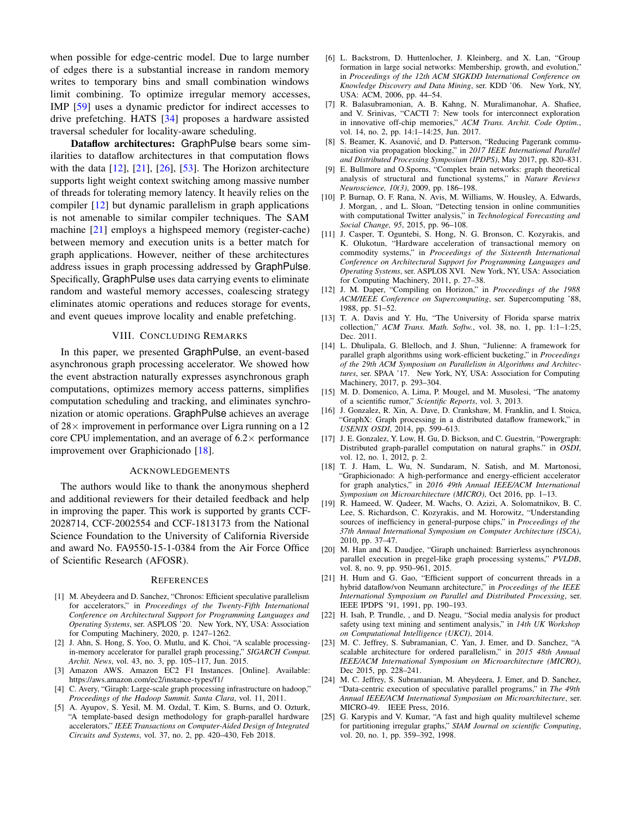when possible for edge-centric model. Due to large number of edges there is a substantial increase in random memory writes to temporary bins and small combination windows limit combining. To optimize irregular memory accesses, IMP [\[59\]](#page-13-37) uses a dynamic predictor for indirect accesses to drive prefetching. HATS [\[34\]](#page-13-38) proposes a hardware assisted traversal scheduler for locality-aware scheduling.

Dataflow architectures: GraphPulse bears some similarities to dataflow architectures in that computation flows with the data  $[12]$ ,  $[21]$ ,  $[26]$ ,  $[53]$ . The Horizon architecture supports light weight context switching among massive number of threads for tolerating memory latency. It heavily relies on the compiler [\[12\]](#page-12-23) but dynamic parallelism in graph applications is not amenable to similar compiler techniques. The SAM machine [\[21\]](#page-12-24) employs a highspeed memory (register-cache) between memory and execution units is a better match for graph applications. However, neither of these architectures address issues in graph processing addressed by GraphPulse. Specifically, GraphPulse uses data carrying events to eliminate random and wasteful memory accesses, coalescing strategy eliminates atomic operations and reduces storage for events, and event queues improve locality and enable prefetching.

## VIII. CONCLUDING REMARKS

In this paper, we presented GraphPulse, an event-based asynchronous graph processing accelerator. We showed how the event abstraction naturally expresses asynchronous graph computations, optimizes memory access patterns, simplifies computation scheduling and tracking, and eliminates synchronization or atomic operations. GraphPulse achieves an average of  $28\times$  improvement in performance over Ligra running on a 12 core CPU implementation, and an average of  $6.2 \times$  performance improvement over Graphicionado [\[18\]](#page-12-12).

## ACKNOWLEDGEMENTS

The authors would like to thank the anonymous shepherd and additional reviewers for their detailed feedback and help in improving the paper. This work is supported by grants CCF-2028714, CCF-2002554 and CCF-1813173 from the National Science Foundation to the University of California Riverside and award No. FA9550-15-1-0384 from the Air Force Office of Scientific Research (AFOSR).

#### **REFERENCES**

- <span id="page-12-11"></span>[1] M. Abeydeera and D. Sanchez, "Chronos: Efficient speculative parallelism for accelerators," in *Proceedings of the Twenty-Fifth International Conference on Architectural Support for Programming Languages and Operating Systems*, ser. ASPLOS '20. New York, NY, USA: Association for Computing Machinery, 2020, p. 1247–1262.
- <span id="page-12-22"></span>[2] J. Ahn, S. Hong, S. Yoo, O. Mutlu, and K. Choi, "A scalable processingin-memory accelerator for parallel graph processing," *SIGARCH Comput. Archit. News*, vol. 43, no. 3, pp. 105–117, Jun. 2015.
- <span id="page-12-7"></span>[3] Amazon AWS. Amazon EC2 F1 Instances. [Online]. Available: <https://aws.amazon.com/ec2/instance-types/f1/>
- <span id="page-12-6"></span>[4] C. Avery, "Giraph: Large-scale graph processing infrastructure on hadoop," *Proceedings of the Hadoop Summit. Santa Clara*, vol. 11, 2011.
- <span id="page-12-19"></span>[5] A. Ayupov, S. Yesil, M. M. Ozdal, T. Kim, S. Burns, and O. Ozturk, "A template-based design methodology for graph-parallel hardware accelerators," *IEEE Transactions on Computer-Aided Design of Integrated Circuits and Systems*, vol. 37, no. 2, pp. 420–430, Feb 2018.
- <span id="page-12-15"></span>[6] L. Backstrom, D. Huttenlocher, J. Kleinberg, and X. Lan, "Group formation in large social networks: Membership, growth, and evolution," in *Proceedings of the 12th ACM SIGKDD International Conference on Knowledge Discovery and Data Mining*, ser. KDD '06. New York, NY, USA: ACM, 2006, pp. 44–54.
- <span id="page-12-18"></span>[7] R. Balasubramonian, A. B. Kahng, N. Muralimanohar, A. Shafiee, and V. Srinivas, "CACTI 7: New tools for interconnect exploration in innovative off-chip memories," *ACM Trans. Archit. Code Optim.*, vol. 14, no. 2, pp. 14:1–14:25, Jun. 2017.
- <span id="page-12-13"></span>[8] S. Beamer, K. Asanović, and D. Patterson, "Reducing Pagerank communication via propagation blocking," in *2017 IEEE International Parallel and Distributed Processing Symposium (IPDPS)*, May 2017, pp. 820–831.
- <span id="page-12-3"></span>[9] E. Bullmore and O.Sporns, "Complex brain networks: graph theoretical analysis of structural and functional systems," in *Nature Reviews Neuroscience, 10(3)*, 2009, pp. 186–198.
- <span id="page-12-0"></span>[10] P. Burnap, O. F. Rana, N. Avis, M. Williams, W. Housley, A. Edwards, J. Morgan, , and L. Sloan, "Detecting tension in online communities with computational Twitter analysis," in *Technological Forecasting and Social Change, 95*, 2015, pp. 96–108.
- <span id="page-12-10"></span>[11] J. Casper, T. Oguntebi, S. Hong, N. G. Bronson, C. Kozyrakis, and K. Olukotun, "Hardware acceleration of transactional memory on commodity systems," in *Proceedings of the Sixteenth International Conference on Architectural Support for Programming Languages and Operating Systems*, ser. ASPLOS XVI. New York, NY, USA: Association for Computing Machinery, 2011, p. 27–38.
- <span id="page-12-23"></span>[12] J. M. Daper, "Compiling on Horizon," in *Proceedings of the 1988 ACM/IEEE Conference on Supercomputing*, ser. Supercomputing '88, 1988, pp. 51–52.
- <span id="page-12-17"></span>[13] T. A. Davis and Y. Hu, "The University of Florida sparse matrix collection," *ACM Trans. Math. Softw.*, vol. 38, no. 1, pp. 1:1–1:25, Dec. 2011.
- <span id="page-12-9"></span>[14] L. Dhulipala, G. Blelloch, and J. Shun, "Julienne: A framework for parallel graph algorithms using work-efficient bucketing," in *Proceedings of the 29th ACM Symposium on Parallelism in Algorithms and Architectures*, ser. SPAA '17. New York, NY, USA: Association for Computing Machinery, 2017, p. 293–304.
- <span id="page-12-1"></span>[15] M. D. Domenico, A. Lima, P. Mougel, and M. Musolesi, "The anatomy of a scientific rumor," *Scientific Reports*, vol. 3, 2013.
- <span id="page-12-4"></span>[16] J. Gonzalez, R. Xin, A. Dave, D. Crankshaw, M. Franklin, and I. Stoica, "GraphX: Graph processing in a distributed dataflow framework," in *USENIX OSDI*, 2014, pp. 599–613.
- <span id="page-12-5"></span>[17] J. E. Gonzalez, Y. Low, H. Gu, D. Bickson, and C. Guestrin, "Powergraph: Distributed graph-parallel computation on natural graphs." in *OSDI*, vol. 12, no. 1, 2012, p. 2.
- <span id="page-12-12"></span>[18] T. J. Ham, L. Wu, N. Sundaram, N. Satish, and M. Martonosi, "Graphicionado: A high-performance and energy-efficient accelerator for graph analytics," in *2016 49th Annual IEEE/ACM International Symposium on Microarchitecture (MICRO)*, Oct 2016, pp. 1–13.
- <span id="page-12-8"></span>[19] R. Hameed, W. Qadeer, M. Wachs, O. Azizi, A. Solomatnikov, B. C. Lee, S. Richardson, C. Kozyrakis, and M. Horowitz, "Understanding sources of inefficiency in general-purpose chips," in *Proceedings of the 37th Annual International Symposium on Computer Architecture (ISCA)*, 2010, pp. 37–47.
- <span id="page-12-14"></span>[20] M. Han and K. Daudjee, "Giraph unchained: Barrierless asynchronous parallel execution in pregel-like graph processing systems," *PVLDB*, vol. 8, no. 9, pp. 950–961, 2015.
- <span id="page-12-24"></span>[21] H. Hum and G. Gao, "Efficient support of concurrent threads in a hybrid dataflow/von Neumann architecture," in *Proceedings of the IEEE International Symposium on Parallel and Distributed Processing*, ser. IEEE IPDPS '91, 1991, pp. 190–193.
- <span id="page-12-2"></span>[22] H. Isah, P. Trundle, , and D. Neagu, "Social media analysis for product safety using text mining and sentiment analysis," in *14th UK Workshop on Computational Intelligence (UKCI)*, 2014.
- <span id="page-12-20"></span>[23] M. C. Jeffrey, S. Subramanian, C. Yan, J. Emer, and D. Sanchez, "A scalable architecture for ordered parallelism," in *2015 48th Annual IEEE/ACM International Symposium on Microarchitecture (MICRO)*, Dec 2015, pp. 228–241.
- <span id="page-12-21"></span>[24] M. C. Jeffrey, S. Subramanian, M. Abeydeera, J. Emer, and D. Sanchez, "Data-centric execution of speculative parallel programs," in *The 49th Annual IEEE/ACM International Symposium on Microarchitecture*, ser. MICRO-49. IEEE Press, 2016.
- <span id="page-12-16"></span>[25] G. Karypis and V. Kumar, "A fast and high quality multilevel scheme for partitioning irregular graphs," *SIAM Journal on scientific Computing*, vol. 20, no. 1, pp. 359–392, 1998.